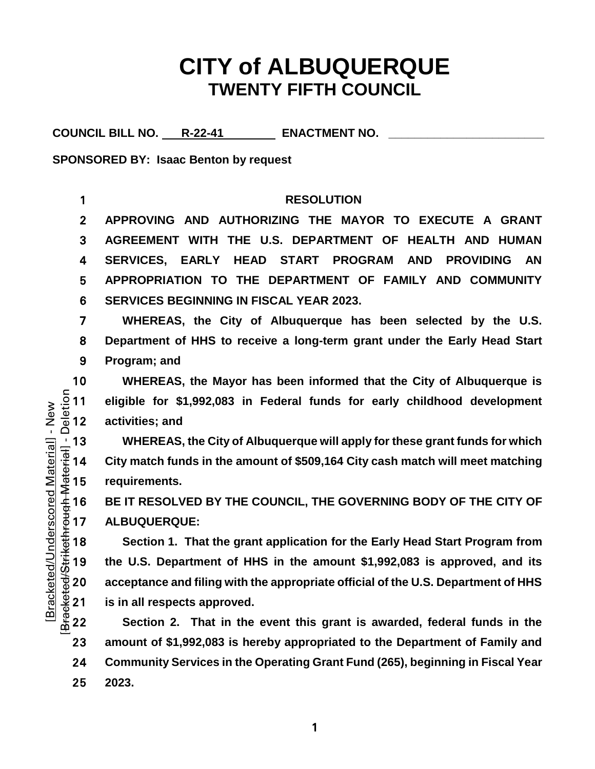# **CITY of ALBUQUERQUE TWENTY FIFTH COUNCIL**

COUNCIL BILL NO. R-22-41 **ENACTMENT NO.** 

**SPONSORED BY: Isaac Benton by request**

**RESOLUTION APPROVING AND AUTHORIZING THE MAYOR TO EXECUTE A GRANT AGREEMENT WITH THE U.S. DEPARTMENT OF HEALTH AND HUMAN SERVICES, EARLY HEAD START PROGRAM AND PROVIDING AN APPROPRIATION TO THE DEPARTMENT OF FAMILY AND COMMUNITY SERVICES BEGINNING IN FISCAL YEAR 2023.**

7 **WHEREAS, the City of Albuquerque has been selected by the U.S.**  8 **Department of HHS to receive a long-term grant under the Early Head Start**  9 **Program; and**

10 **WHEREAS, the Mayor has been informed that the City of Albuquerque is**<br>  $\frac{5}{8}$  11 **eligible for \$1,992,083** in Federal funds for early childhood development<br>  $\frac{1}{8}$  12 **activities; and** 11 **eligible for \$1,992,083 in Federal funds for early childhood development**  activities; and

WHEREAS, the City of Albuquerque will apply for these grant funds for which<br>  $\frac{1}{3}$  14 City match funds in the amount of \$509,164 City cash match will meet matching<br>  $\frac{4}{3}$  15 requirements.<br>
BE IT RESOLVED BY THE CO 14 **City match funds in the amount of \$509,164 City cash match will meet matching**  requirements.

16 **BE IT RESOLVED BY THE COUNCIL, THE GOVERNING BODY OF THE CITY OF**  17 **ALBUQUERQUE:**

Section 1. That the grant application for the Early Head Start Program from the U.S. Department of HHS in the amount \$1,992,083 is approved, and its acceptance and filing with the appropriate official of the U.S. Departmen 19 **the U.S. Department of HHS in the amount \$1,992,083 is approved, and its**  acceptance and filing with the appropriate official of the U.S. Department of HHS is in all respects approved.

**Section 2. That in the event this grant is awarded, federal funds in the amount of \$1,992,083 is hereby appropriated to the Department of Family and Community Services in the Operating Grant Fund (265), beginning in Fiscal Year**  25 **2023.**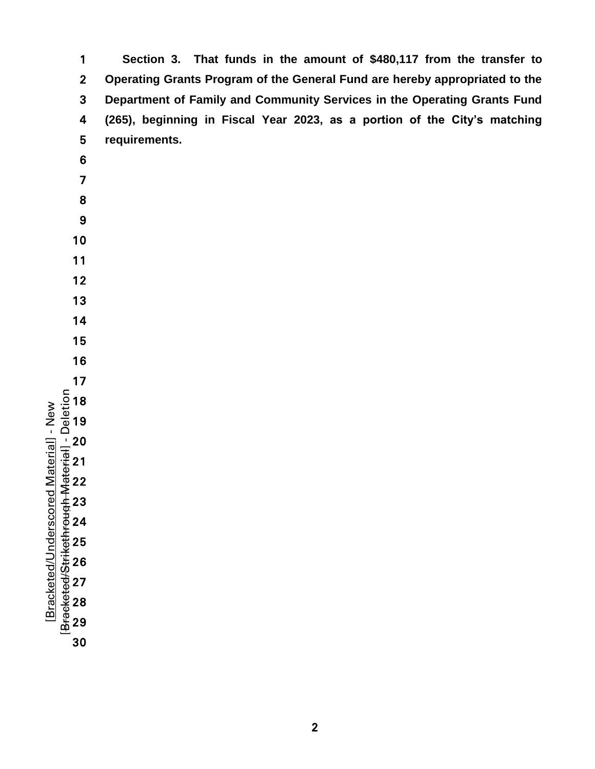| 1                       | Section 3. That funds in the amount of \$480,117 from the transfer to       |
|-------------------------|-----------------------------------------------------------------------------|
| $\overline{2}$          | Operating Grants Program of the General Fund are hereby appropriated to the |
| 3                       | Department of Family and Community Services in the Operating Grants Fund    |
| 4                       | (265), beginning in Fiscal Year 2023, as a portion of the City's matching   |
| 5                       | requirements.                                                               |
| 6                       |                                                                             |
| $\overline{\mathbf{z}}$ |                                                                             |
| 8                       |                                                                             |
| 9                       |                                                                             |
| 10                      |                                                                             |
| 11                      |                                                                             |
| 12                      |                                                                             |
| 13                      |                                                                             |
| 14                      |                                                                             |
| 15                      |                                                                             |
| 16                      |                                                                             |
| 17                      |                                                                             |
|                         |                                                                             |
|                         |                                                                             |
|                         |                                                                             |
|                         |                                                                             |
|                         |                                                                             |
|                         |                                                                             |
|                         |                                                                             |
|                         |                                                                             |
|                         |                                                                             |
|                         |                                                                             |
|                         |                                                                             |
|                         |                                                                             |
| 30                      |                                                                             |
|                         |                                                                             |
|                         |                                                                             |

[Bracketed/Underscored Material] - New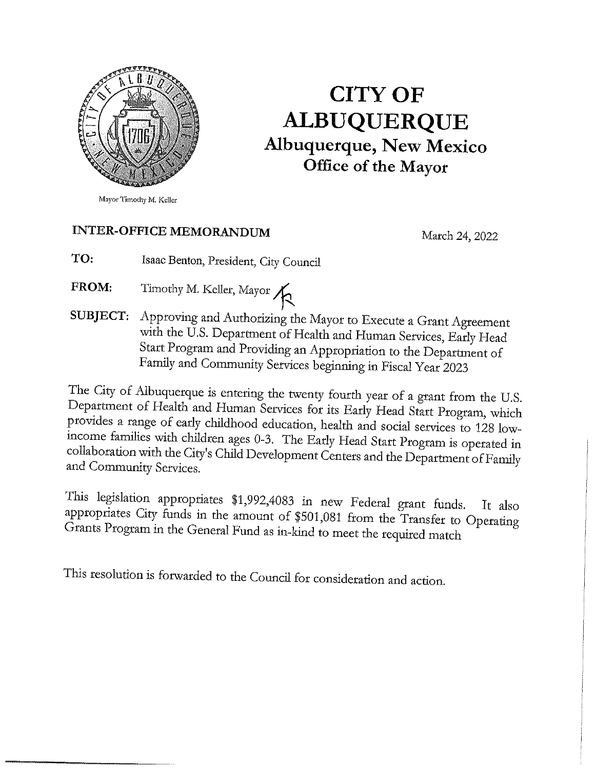

# **CITY OF ALBUQUERQUE Albuquerque, New Mexico** Office of the Mayor

Mayor Timothy M. Keller

## **INTER-OFFICE MEMORANDUM**

March 24, 2022

TO: Isaac Benton, President, City Council

- Timothy M. Keller, Mayor FROM:
- SUBJECT: Approving and Authorizing the Mayor to Execute a Grant Agreement with the U.S. Department of Health and Human Services, Early Head Start Program and Providing an Appropriation to the Department of Family and Community Services beginning in Fiscal Year 2023

The City of Albuquerque is entering the twenty fourth year of a grant from the U.S. Department of Health and Human Services for its Early Head Start Program, which provides a range of early childhood education, health and social services to 128 lowincome families with children ages 0-3. The Early Head Start Program is operated in collaboration with the City's Child Development Centers and the Department of Family and Community Services.

This legislation appropriates \$1,992,4083 in new Federal grant funds. It also appropriates City funds in the amount of \$501,081 from the Transfer to Operating Grants Program in the General Fund as in-kind to meet the required match

This resolution is forwarded to the Council for consideration and action.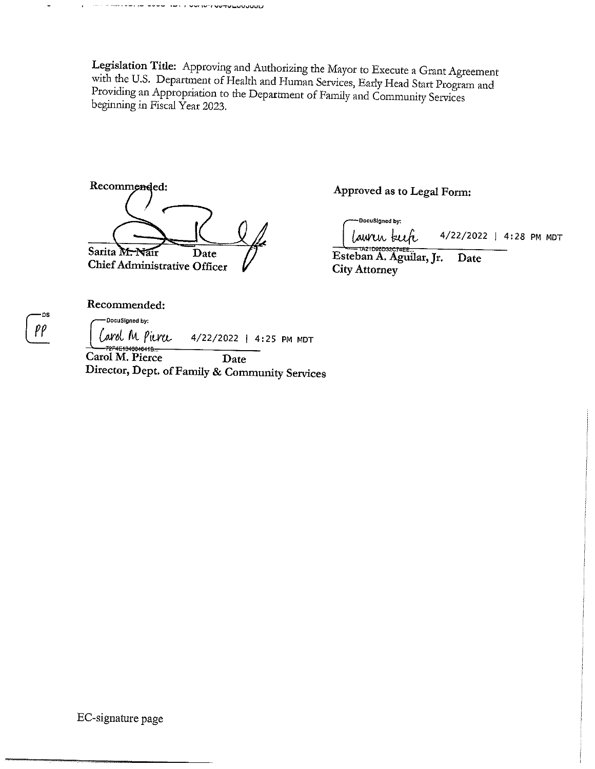עוטטעטערפער זישון אישון איישר אייז איז ז

Legislation Title: Approving and Authorizing the Mayor to Execute a Grant Agreement with the U.S. Department of Health and Human Services, Early Head Start Program and Providing an Appropriation to the Department of Family and Community Services beginning in Fiscal Year 2023.

Recommended: Sarita M. Nair Date **Chief Administrative Officer** 

Approved as to Legal Form:

DocuSigned by: lawrir kech 4/22/2022 | 4:28 PM MDT

Esteban A. Aguilar, Jr. Date **City Attorney** 

Recommended:

-DocuSigned by: Carol M Pierce 4/22/2022 | 4:25 PM MDT 72F4E134004641B-Carol M. Pierce Date Director, Dept. of Family & Community Services

EC-signature page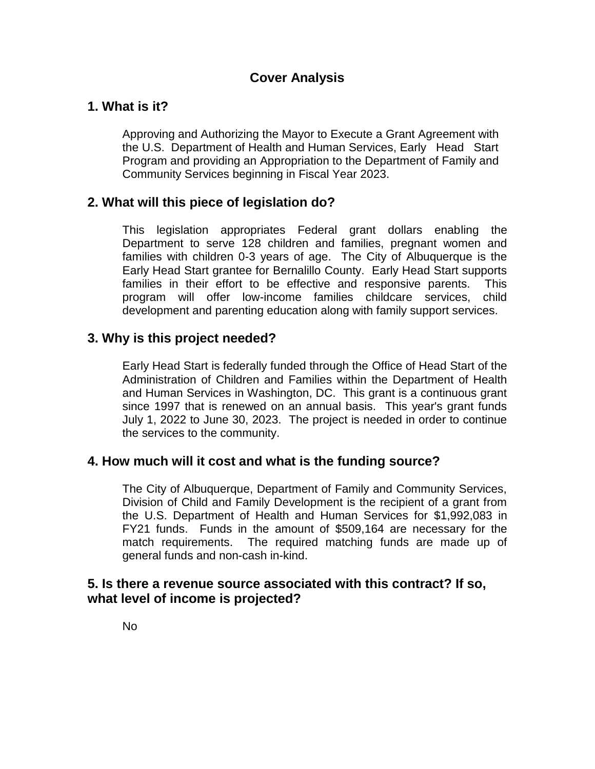### **Cover Analysis**

### **1. What is it?**

Approving and Authorizing the Mayor to Execute a Grant Agreement with the U.S. Department of Health and Human Services, Early Head Start Program and providing an Appropriation to the Department of Family and Community Services beginning in Fiscal Year 2023.

### **2. What will this piece of legislation do?**

This legislation appropriates Federal grant dollars enabling the Department to serve 128 children and families, pregnant women and families with children 0-3 years of age. The City of Albuquerque is the Early Head Start grantee for Bernalillo County. Early Head Start supports families in their effort to be effective and responsive parents. This program will offer low-income families childcare services, child development and parenting education along with family support services.

### **3. Why is this project needed?**

Early Head Start is federally funded through the Office of Head Start of the Administration of Children and Families within the Department of Health and Human Services in Washington, DC. This grant is a continuous grant since 1997 that is renewed on an annual basis. This year's grant funds July 1, 2022 to June 30, 2023. The project is needed in order to continue the services to the community.

#### **4. How much will it cost and what is the funding source?**

The City of Albuquerque, Department of Family and Community Services, Division of Child and Family Development is the recipient of a grant from the U.S. Department of Health and Human Services for \$1,992,083 in FY21 funds. Funds in the amount of \$509,164 are necessary for the match requirements. The required matching funds are made up of general funds and non-cash in-kind.

#### **5. Is there a revenue source associated with this contract? If so, what level of income is projected?**

No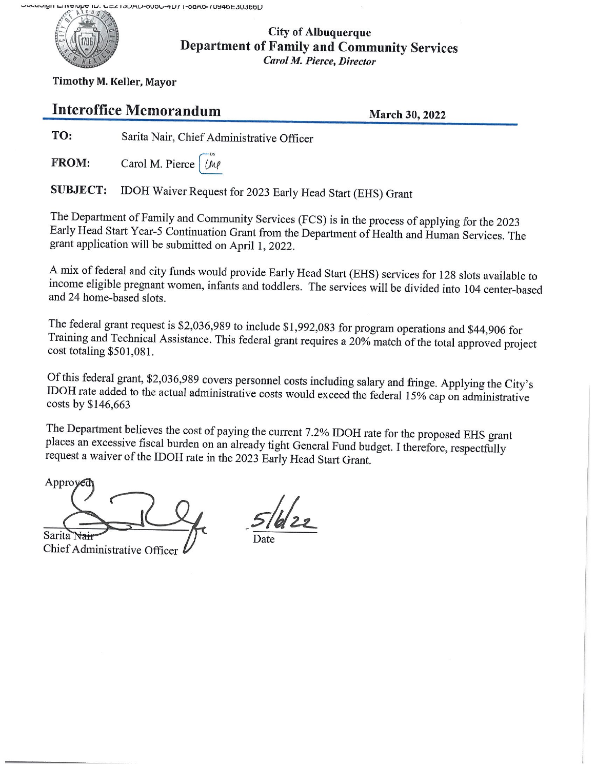

#### **City of Albuquerque Department of Family and Community Services Carol M. Pierce, Director**

Timothy M. Keller, Mayor

# **Interoffice Memorandum**

**March 30, 2022** 

TO: Sarita Nair, Chief Administrative Officer

**FROM:** Carol M. Pierce | (MP)

IDOH Waiver Request for 2023 Early Head Start (EHS) Grant **SUBJECT:** 

The Department of Family and Community Services (FCS) is in the process of applying for the 2023 Early Head Start Year-5 Continuation Grant from the Department of Health and Human Services. The grant application will be submitted on April 1, 2022.

A mix of federal and city funds would provide Early Head Start (EHS) services for 128 slots available to income eligible pregnant women, infants and toddlers. The services will be divided into 104 center-based and 24 home-based slots.

The federal grant request is \$2,036,989 to include \$1,992,083 for program operations and \$44,906 for Training and Technical Assistance. This federal grant requires a 20% match of the total approved project  $cost$  totaling \$501,081.

Of this federal grant, \$2,036,989 covers personnel costs including salary and fringe. Applying the City's IDOH rate added to the actual administrative costs would exceed the federal 15% cap on administrative costs by \$146,663

The Department believes the cost of paying the current 7.2% IDOH rate for the proposed EHS grant places an excessive fiscal burden on an already tight General Fund budget. I therefore, respectfully request a waiver of the IDOH rate in the 2023 Early Head Start Grant.

Approyed Sarita<sup>T</sup>

Chief Administrative Officer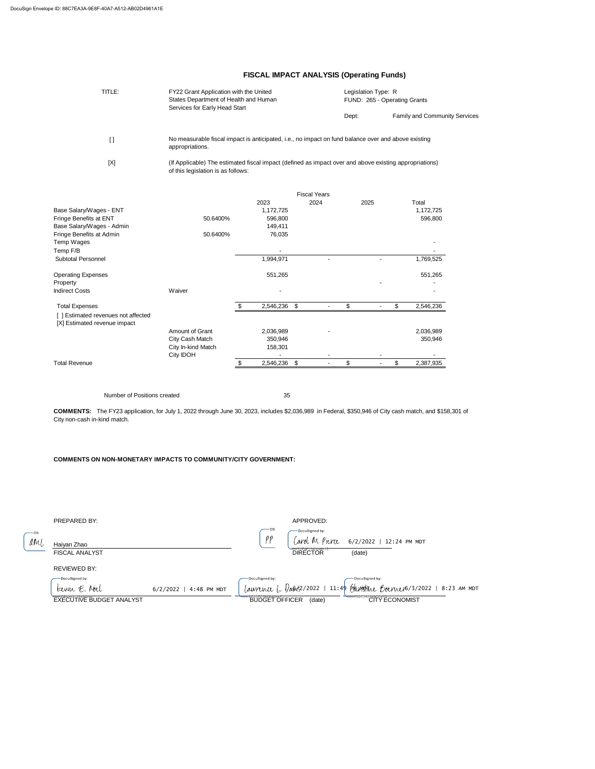$MNL$ Haiyan Zhao

-DS

DocuSigned by:  $($ arol M Pierce  $6/2/2022 + 12:24$  PM MDT

35

#### **COMMENTS ON NON-MONETARY IMPACTS TO COMMUNITY/CITY GOVERNMENT:**

PREPARED BY: APPROVED:

#### REVIEWED BY:



DIRECTOR<sup>"</sup> (date)

| TITLE:                              | FY22 Grant Application with the United<br>States Department of Health and Human<br>Services for Early Head Start                             |    |              |                           |                     | Legislation Type: R<br>FUND: 265 - Operating Grants |                |    |                                      |  |
|-------------------------------------|----------------------------------------------------------------------------------------------------------------------------------------------|----|--------------|---------------------------|---------------------|-----------------------------------------------------|----------------|----|--------------------------------------|--|
|                                     |                                                                                                                                              |    |              |                           |                     | Dept:                                               |                |    | <b>Family and Community Services</b> |  |
| $[ \ ]$                             | No measurable fiscal impact is anticipated, i.e., no impact on fund balance over and above existing<br>appropriations.                       |    |              |                           |                     |                                                     |                |    |                                      |  |
| [X]                                 | (If Applicable) The estimated fiscal impact (defined as impact over and above existing appropriations)<br>of this legislation is as follows: |    |              |                           |                     |                                                     |                |    |                                      |  |
|                                     |                                                                                                                                              |    |              |                           | <b>Fiscal Years</b> |                                                     |                |    |                                      |  |
|                                     |                                                                                                                                              |    | 2023         |                           | 2024                |                                                     | 2025           |    | Total                                |  |
| Base Salary/Wages - ENT             |                                                                                                                                              |    | 1,172,725    |                           |                     |                                                     |                |    | 1,172,725                            |  |
| Fringe Benefits at ENT              | 50.6400%                                                                                                                                     |    | 596,800      |                           |                     |                                                     |                |    | 596,800                              |  |
| Base Salary/Wages - Admin           |                                                                                                                                              |    | 149,411      |                           |                     |                                                     |                |    |                                      |  |
| Fringe Benefits at Admin            | 50.6400%                                                                                                                                     |    | 76,035       |                           |                     |                                                     |                |    |                                      |  |
| Temp Wages                          |                                                                                                                                              |    |              |                           |                     |                                                     |                |    |                                      |  |
| Temp F/B                            |                                                                                                                                              |    |              |                           |                     |                                                     |                |    |                                      |  |
| <b>Subtotal Personnel</b>           |                                                                                                                                              |    | 1,994,971    |                           |                     |                                                     |                |    | 1,769,525                            |  |
| <b>Operating Expenses</b>           |                                                                                                                                              |    | 551,265      |                           |                     |                                                     |                |    | 551,265                              |  |
| Property                            |                                                                                                                                              |    |              |                           |                     |                                                     |                |    |                                      |  |
| <b>Indirect Costs</b>               | Waiver                                                                                                                                       |    |              |                           |                     |                                                     |                |    |                                      |  |
| <b>Total Expenses</b>               |                                                                                                                                              | \$ | 2,546,236 \$ |                           |                     | \$                                                  |                | \$ | 2,546,236                            |  |
| [ ] Estimated revenues not affected |                                                                                                                                              |    |              |                           |                     |                                                     |                |    |                                      |  |
| [X] Estimated revenue impact        |                                                                                                                                              |    |              |                           |                     |                                                     |                |    |                                      |  |
|                                     | Amount of Grant                                                                                                                              |    | 2,036,989    |                           |                     |                                                     |                |    | 2,036,989                            |  |
|                                     | City Cash Match                                                                                                                              |    | 350,946      |                           |                     |                                                     |                |    | 350,946                              |  |
|                                     | City In-kind Match                                                                                                                           |    | 158,301      |                           |                     |                                                     |                |    |                                      |  |
| <b>Total Revenue</b>                | <b>City IDOH</b>                                                                                                                             | \$ | 2,546,236    | $\boldsymbol{\mathsf{s}}$ | $\blacksquare$      | \$                                                  | $\blacksquare$ | \$ | 2,387,935                            |  |
|                                     |                                                                                                                                              |    |              |                           |                     |                                                     |                |    |                                      |  |

## **FISCAL IMPACT ANALYSIS (Operating Funds)**

Number of Positions created

| DocuSigned by:                  |                          | -DocuSigned by:                 | — DocuSigned by:                                                                        |
|---------------------------------|--------------------------|---------------------------------|-----------------------------------------------------------------------------------------|
| $k$ errin $E$ . Noch            | $6/2/2022$   4:48 PM MDT |                                 | <i>Lawrence L. Davis</i> 2/2022   11:49 <i>Phonetice Boerner</i> 6/3/2022   8:23 AM MDT |
| <b>EXECUTIVE BUDGET ANALYST</b> |                          | <b>BUDGET OFFICER</b><br>(date) | EUZCZ8ZCITY ECONOMIST                                                                   |

**DS** 

 $\rho\rho$ 

**COMMENTS:** The FY23 application, for July 1, 2022 through June 30, 2023, includes \$2,036,989 in Federal, \$350,946 of City cash match, and \$158,301 of City non-cash in-kind match.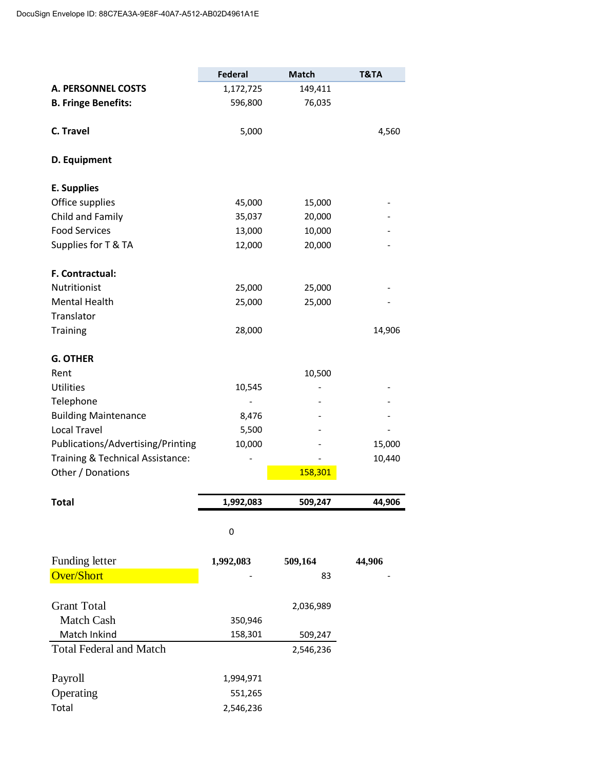|                                   | <b>Federal</b> | <b>Match</b> | T&TA   |
|-----------------------------------|----------------|--------------|--------|
| <b>A. PERSONNEL COSTS</b>         | 1,172,725      | 149,411      |        |
| <b>B. Fringe Benefits:</b>        | 596,800        | 76,035       |        |
|                                   |                |              |        |
| C. Travel                         | 5,000          |              | 4,560  |
| D. Equipment                      |                |              |        |
| <b>E. Supplies</b>                |                |              |        |
| Office supplies                   | 45,000         | 15,000       |        |
| Child and Family                  | 35,037         | 20,000       |        |
| <b>Food Services</b>              | 13,000         | 10,000       |        |
| Supplies for T & TA               | 12,000         | 20,000       |        |
| F. Contractual:                   |                |              |        |
| Nutritionist                      | 25,000         | 25,000       |        |
| <b>Mental Health</b>              | 25,000         | 25,000       |        |
| Translator                        |                |              |        |
| <b>Training</b>                   | 28,000         |              | 14,906 |
| <b>G. OTHER</b>                   |                |              |        |
| Rent                              |                | 10,500       |        |
| <b>Utilities</b>                  | 10,545         |              |        |
| Telephone                         |                |              |        |
| <b>Building Maintenance</b>       | 8,476          |              |        |
| <b>Local Travel</b>               | 5,500          |              |        |
| Publications/Advertising/Printing | 10,000         |              | 15,000 |
| Training & Technical Assistance:  |                |              | 10,440 |
| Other / Donations                 |                | 158,301      |        |

| <b>Total</b>                   | 1,992,083 | 509,247   | 44,906 |
|--------------------------------|-----------|-----------|--------|
|                                | 0         |           |        |
| Funding letter                 | 1,992,083 | 509,164   | 44,906 |
| <b>Over/Short</b>              | -         | 83        |        |
| <b>Grant Total</b>             |           | 2,036,989 |        |
| Match Cash                     | 350,946   |           |        |
| Match Inkind                   | 158,301   | 509,247   |        |
| <b>Total Federal and Match</b> |           | 2,546,236 |        |
| Payroll                        | 1,994,971 |           |        |
| Operating                      | 551,265   |           |        |
| Total                          | 2,546,236 |           |        |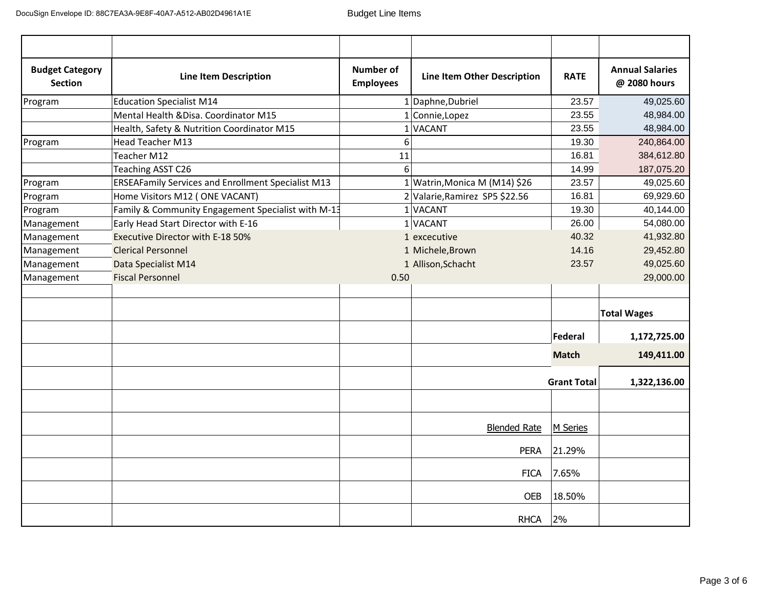| <b>Budget Category</b><br><b>Section</b> | <b>Line Item Description</b>                              | <b>Number of</b><br><b>Employees</b> | <b>Line Item Other Description</b> | <b>RATE</b>        | <b>Annual Salaries</b><br>@ 2080 hours |
|------------------------------------------|-----------------------------------------------------------|--------------------------------------|------------------------------------|--------------------|----------------------------------------|
| Program                                  | <b>Education Specialist M14</b>                           |                                      | 1 Daphne, Dubriel                  | 23.57              | 49,025.60                              |
|                                          | Mental Health & Disa. Coordinator M15                     |                                      | $1$ Connie, Lopez                  | 23.55              | 48,984.00                              |
|                                          | Health, Safety & Nutrition Coordinator M15                |                                      | 1 VACANT                           | 23.55              | 48,984.00                              |
| Program                                  | <b>Head Teacher M13</b>                                   | 6                                    |                                    | 19.30              | 240,864.00                             |
|                                          | Teacher M12                                               | 11                                   |                                    | 16.81              | 384,612.80                             |
|                                          | Teaching ASST C26                                         | 6                                    |                                    | 14.99              | 187,075.20                             |
| Program                                  | <b>ERSEAFamily Services and Enrollment Specialist M13</b> |                                      | $1$ Watrin, Monica M (M14) \$26    | 23.57              | 49,025.60                              |
| Program                                  | Home Visitors M12 (ONE VACANT)                            |                                      | 2 Valarie, Ramirez SP5 \$22.56     | 16.81              | 69,929.60                              |
| Program                                  | Family & Community Engagement Specialist with M-13        |                                      | 1VACANT                            | 19.30              | 40,144.00                              |
| Management                               | Early Head Start Director with E-16                       |                                      | 1VACANT                            | 26.00              | 54,080.00                              |
| Management                               | Executive Director with E-18 50%                          |                                      | 1 excecutive                       | 40.32              | 41,932.80                              |
| Management                               | <b>Clerical Personnel</b>                                 |                                      | 1 Michele, Brown                   | 14.16              | 29,452.80                              |
| Management                               | Data Specialist M14                                       |                                      | 1 Allison, Schacht                 | 23.57              | 49,025.60                              |
| Management                               | <b>Fiscal Personnel</b>                                   | 0.50                                 |                                    |                    | 29,000.00                              |
|                                          |                                                           |                                      |                                    |                    |                                        |
|                                          |                                                           |                                      |                                    |                    | <b>Total Wages</b>                     |
|                                          |                                                           |                                      |                                    | Federal            | 1,172,725.00                           |
|                                          |                                                           |                                      |                                    | <b>Match</b>       | 149,411.00                             |
|                                          |                                                           |                                      |                                    | <b>Grant Total</b> | 1,322,136.00                           |
|                                          |                                                           |                                      |                                    |                    |                                        |
|                                          |                                                           |                                      | <b>Blended Rate</b>                | M Series           |                                        |
|                                          |                                                           |                                      | <b>PERA</b>                        | 21.29%             |                                        |
|                                          |                                                           |                                      | <b>FICA</b>                        | 7.65%              |                                        |
|                                          |                                                           |                                      | <b>OEB</b>                         | 18.50%             |                                        |
|                                          |                                                           |                                      | <b>RHCA</b>                        | 2%                 |                                        |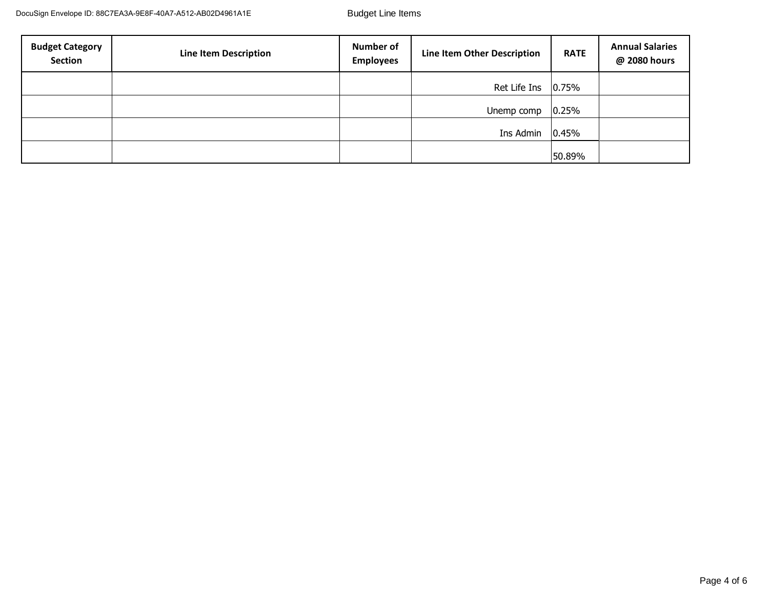| <b>Budget Category</b><br>Section | <b>Line Item Description</b> | <b>Number of</b><br><b>Employees</b> | <b>Line Item Other Description</b> | <b>RATE</b> | <b>Annual Salaries</b><br>@ 2080 hours |
|-----------------------------------|------------------------------|--------------------------------------|------------------------------------|-------------|----------------------------------------|
|                                   |                              |                                      | Ret Life Ins $ 0.75\%$             |             |                                        |
|                                   |                              |                                      | Unemp comp                         | 0.25%       |                                        |
|                                   |                              |                                      | Ins Admin                          | 0.45%       |                                        |
|                                   |                              |                                      |                                    | 50.89%      |                                        |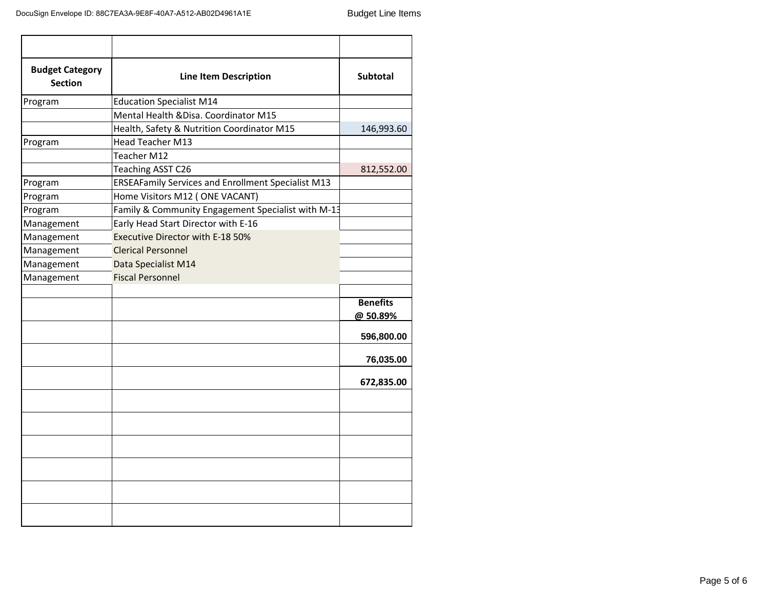| <b>Budget Category</b><br><b>Section</b> | <b>Line Item Description</b>                              | <b>Subtotal</b> |
|------------------------------------------|-----------------------------------------------------------|-----------------|
| Program                                  | <b>Education Specialist M14</b>                           |                 |
|                                          | Mental Health & Disa. Coordinator M15                     |                 |
|                                          | Health, Safety & Nutrition Coordinator M15                | 146,993.60      |
| Program                                  | <b>Head Teacher M13</b>                                   |                 |
|                                          | Teacher M12                                               |                 |
|                                          | Teaching ASST C26                                         | 812,552.00      |
| Program                                  | <b>ERSEAFamily Services and Enrollment Specialist M13</b> |                 |
| Program                                  | Home Visitors M12 (ONE VACANT)                            |                 |
| Program                                  | Family & Community Engagement Specialist with M-13        |                 |
| Management                               | Early Head Start Director with E-16                       |                 |
| Management                               | Executive Director with E-18 50%                          |                 |
| Management                               | <b>Clerical Personnel</b>                                 |                 |
| Management                               | Data Specialist M14                                       |                 |
| Management                               | <b>Fiscal Personnel</b>                                   |                 |
|                                          |                                                           |                 |
|                                          |                                                           | <b>Benefits</b> |
|                                          |                                                           | @50.89%         |
|                                          |                                                           | 596,800.00      |
|                                          |                                                           | 76,035.00       |
|                                          |                                                           | 672,835.00      |
|                                          |                                                           |                 |
|                                          |                                                           |                 |
|                                          |                                                           |                 |
|                                          |                                                           |                 |
|                                          |                                                           |                 |
|                                          |                                                           |                 |